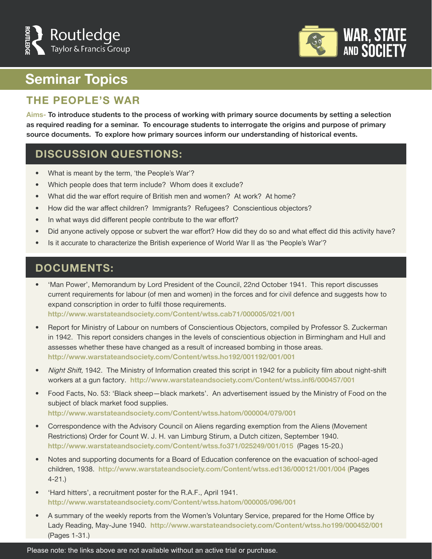



# **Seminar Topics**

### **THE PEOPLE'S WAR**

**Aims- To introduce students to the process of working with primary source documents by setting a selection as required reading for a seminar. To encourage students to interrogate the origins and purpose of primary source documents. To explore how primary sources inform our understanding of historical events.** 

#### **DISCUSSION QUESTIONS:**

- What is meant by the term, 'the People's War'?
- Which people does that term include? Whom does it exclude?
- What did the war effort require of British men and women? At work? At home?
- How did the war affect children? Immigrants? Refugees? Conscientious objectors?
- In what ways did different people contribute to the war effort?
- Did anyone actively oppose or subvert the war effort? How did they do so and what effect did this activity have?
- Is it accurate to characterize the British experience of World War II as 'the People's War'?

### **DOCUMENTS:**

• 'Man Power', Memorandum by Lord President of the Council, 22nd October 1941. This report discusses current requirements for labour (of men and women) in the forces and for civil defence and suggests how to expand conscription in order to fulfil those requirements. **http://www.warstateandsociety.com/Content/wtss.cab71/000005/021/001**

• Report for Ministry of Labour on numbers of Conscientious Objectors, compiled by Professor S. Zuckerman in 1942. This report considers changes in the levels of conscientious objection in Birmingham and Hull and assesses whether these have changed as a result of increased bombing in those areas. **http://www.warstateandsociety.com/Content/wtss.ho192/001192/001/001**

- Night Shift, 1942. The Ministry of Information created this script in 1942 for a publicity film about night-shift workers at a gun factory. **http://www.warstateandsociety.com/Content/wtss.inf6/000457/001**
- Food Facts, No. 53: 'Black sheep-black markets'. An advertisement issued by the Ministry of Food on the subject of black market food supplies. **http://www.warstateandsociety.com/Content/wtss.hatom/000004/079/001**
- Correspondence with the Advisory Council on Aliens regarding exemption from the Aliens (Movement Restrictions) Order for Count W. J. H. van Limburg Stirum, a Dutch citizen, September 1940. **http://www.warstateandsociety.com/Content/wtss.fo371/025249/001/015** (Pages 15-20.)
- Notes and supporting documents for a Board of Education conference on the evacuation of school-aged children, 1938. **http://www.warstateandsociety.com/Content/wtss.ed136/000121/001/004 (**Pages 4-21.)
- 'Hard hitters', a recruitment poster for the R.A.F., April 1941. **http://www.warstateandsociety.com/Content/wtss.hatom/000005/096/001**
- A summary of the weekly reports from the Women's Voluntary Service, prepared for the Home Office by Lady Reading, May-June 1940. **http://www.warstateandsociety.com/Content/wtss.ho199/000452/001** (Pages 1-31.)